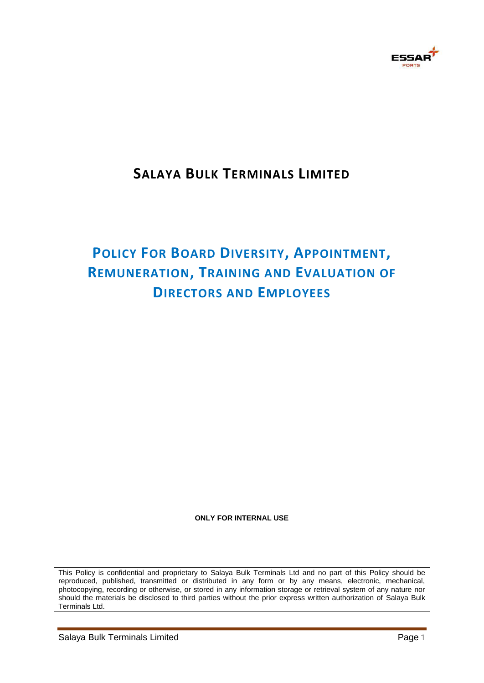

## **SALAYA BULK TERMINALS LIMITED**

# **POLICY FOR BOARD DIVERSITY, APPOINTMENT, REMUNERATION, TRAINING AND EVALUATION OF DIRECTORS AND EMPLOYEES**

#### **ONLY FOR INTERNAL USE**

This Policy is confidential and proprietary to Salaya Bulk Terminals Ltd and no part of this Policy should be reproduced, published, transmitted or distributed in any form or by any means, electronic, mechanical, photocopying, recording or otherwise, or stored in any information storage or retrieval system of any nature nor should the materials be disclosed to third parties without the prior express written authorization of Salaya Bulk Terminals Ltd.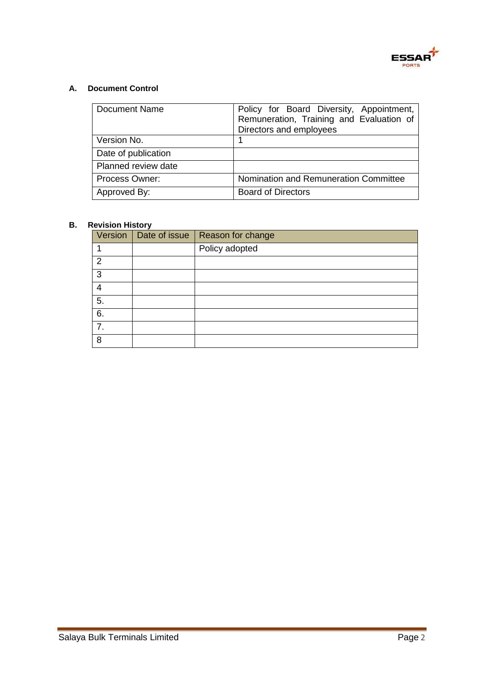

### **A. Document Control**

| <b>Document Name</b> | Policy for Board Diversity, Appointment,<br>Remuneration, Training and Evaluation of<br>Directors and employees |
|----------------------|-----------------------------------------------------------------------------------------------------------------|
| Version No.          |                                                                                                                 |
| Date of publication  |                                                                                                                 |
| Planned review date  |                                                                                                                 |
| Process Owner:       | Nomination and Remuneration Committee                                                                           |
| Approved By:         | <b>Board of Directors</b>                                                                                       |

#### **B. Revision History**

| Version          | Date of issue   Reason for change |
|------------------|-----------------------------------|
|                  | Policy adopted                    |
| $\overline{2}$   |                                   |
| 3                |                                   |
| 4                |                                   |
| $\overline{5}$ . |                                   |
| 6.               |                                   |
| $\overline{7}$ . |                                   |
| 8                |                                   |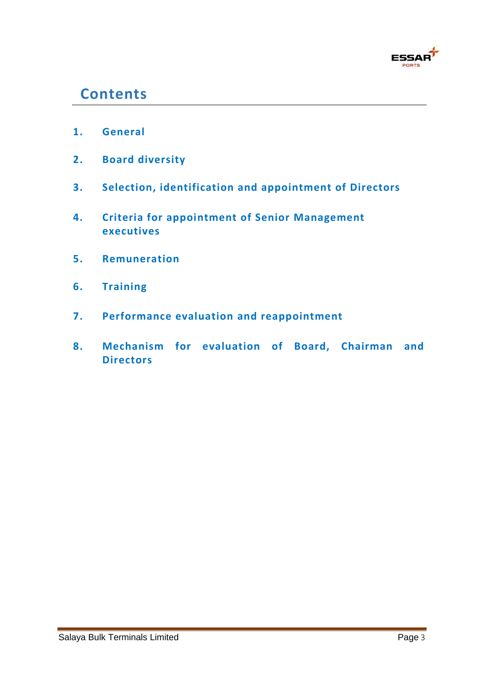

## **Contents**

- **1. General**
- **2. Board diversity**
- **3. Selection, identification and appointment of Directors**
- **4. Criteria for appointment of Senior Management executives**
- **5. Remuneration**
- **6. Training**
- **7. Performance evaluation and reappointment**
- **8. Mechanism for evaluation of Board, Chairman and Directors**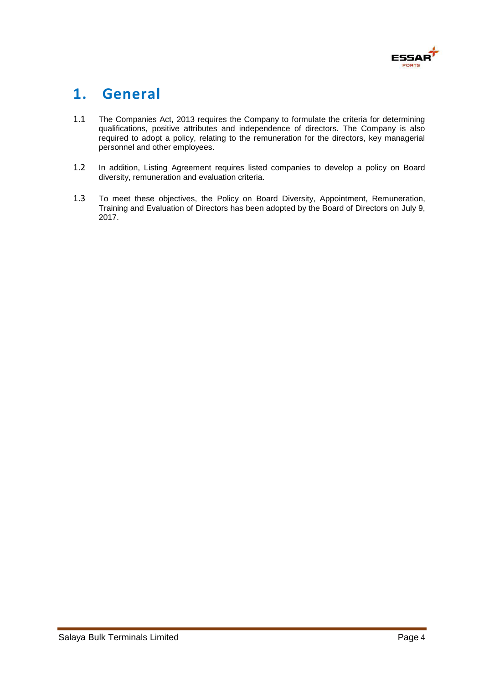

## **1. General**

- 1.1 The Companies Act, 2013 requires the Company to formulate the criteria for determining qualifications, positive attributes and independence of directors. The Company is also required to adopt a policy, relating to the remuneration for the directors, key managerial personnel and other employees.
- 1.2 In addition, Listing Agreement requires listed companies to develop a policy on Board diversity, remuneration and evaluation criteria.
- 1.3 To meet these objectives, the Policy on Board Diversity, Appointment, Remuneration, Training and Evaluation of Directors has been adopted by the Board of Directors on July 9, 2017.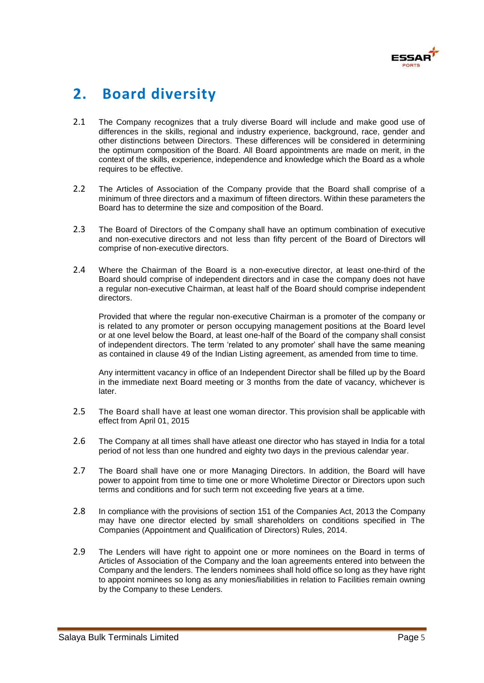

## **2. Board diversity**

- 2.1 The Company recognizes that a truly diverse Board will include and make good use of differences in the skills, regional and industry experience, background, race, gender and other distinctions between Directors. These differences will be considered in determining the optimum composition of the Board. All Board appointments are made on merit, in the context of the skills, experience, independence and knowledge which the Board as a whole requires to be effective.
- 2.2 The Articles of Association of the Company provide that the Board shall comprise of a minimum of three directors and a maximum of fifteen directors. Within these parameters the Board has to determine the size and composition of the Board.
- 2.3 The Board of Directors of the Company shall have an optimum combination of executive and non-executive directors and not less than fifty percent of the Board of Directors will comprise of non-executive directors.
- 2.4 Where the Chairman of the Board is a non-executive director, at least one-third of the Board should comprise of independent directors and in case the company does not have a regular non-executive Chairman, at least half of the Board should comprise independent directors.

Provided that where the regular non-executive Chairman is a promoter of the company or is related to any promoter or person occupying management positions at the Board level or at one level below the Board, at least one-half of the Board of the company shall consist of independent directors. The term 'related to any promoter' shall have the same meaning as contained in clause 49 of the Indian Listing agreement, as amended from time to time.

Any intermittent vacancy in office of an Independent Director shall be filled up by the Board in the immediate next Board meeting or 3 months from the date of vacancy, whichever is later.

- 2.5 The Board shall have at least one woman director. This provision shall be applicable with effect from April 01, 2015
- 2.6 The Company at all times shall have atleast one director who has stayed in India for a total period of not less than one hundred and eighty two days in the previous calendar year.
- 2.7 The Board shall have one or more Managing Directors. In addition, the Board will have power to appoint from time to time one or more Wholetime Director or Directors upon such terms and conditions and for such term not exceeding five years at a time.
- 2.8 In compliance with the provisions of section 151 of the Companies Act, 2013 the Company may have one director elected by small shareholders on conditions specified in The Companies (Appointment and Qualification of Directors) Rules, 2014.
- 2.9 The Lenders will have right to appoint one or more nominees on the Board in terms of Articles of Association of the Company and the loan agreements entered into between the Company and the lenders. The lenders nominees shall hold office so long as they have right to appoint nominees so long as any monies/liabilities in relation to Facilities remain owning by the Company to these Lenders.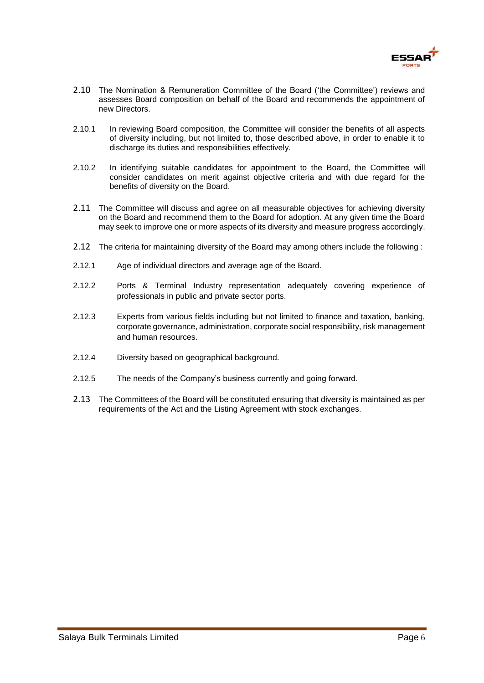

- 2.10 The Nomination & Remuneration Committee of the Board ('the Committee') reviews and assesses Board composition on behalf of the Board and recommends the appointment of new Directors.
- 2.10.1 In reviewing Board composition, the Committee will consider the benefits of all aspects of diversity including, but not limited to, those described above, in order to enable it to discharge its duties and responsibilities effectively.
- 2.10.2 In identifying suitable candidates for appointment to the Board, the Committee will consider candidates on merit against objective criteria and with due regard for the benefits of diversity on the Board.
- 2.11 The Committee will discuss and agree on all measurable objectives for achieving diversity on the Board and recommend them to the Board for adoption. At any given time the Board may seek to improve one or more aspects of its diversity and measure progress accordingly.
- 2.12 The criteria for maintaining diversity of the Board may among others include the following :
- 2.12.1 Age of individual directors and average age of the Board.
- 2.12.2 Ports & Terminal Industry representation adequately covering experience of professionals in public and private sector ports.
- 2.12.3 Experts from various fields including but not limited to finance and taxation, banking, corporate governance, administration, corporate social responsibility, risk management and human resources.
- 2.12.4 Diversity based on geographical background.
- 2.12.5 The needs of the Company's business currently and going forward.
- 2.13 The Committees of the Board will be constituted ensuring that diversity is maintained as per requirements of the Act and the Listing Agreement with stock exchanges.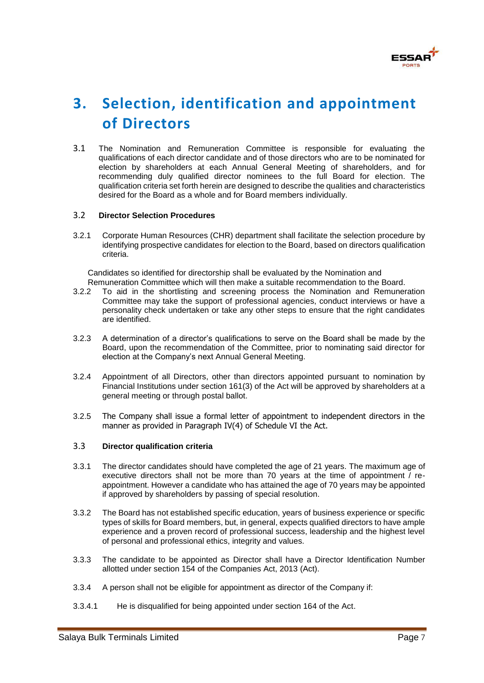

# **3. Selection, identification and appointment of Directors**

3.1 The Nomination and Remuneration Committee is responsible for evaluating the qualifications of each director candidate and of those directors who are to be nominated for election by shareholders at each Annual General Meeting of shareholders, and for recommending duly qualified director nominees to the full Board for election. The qualification criteria set forth herein are designed to describe the qualities and characteristics desired for the Board as a whole and for Board members individually.

#### 3.2 **Director Selection Procedures**

3.2.1 Corporate Human Resources (CHR) department shall facilitate the selection procedure by identifying prospective candidates for election to the Board, based on directors qualification criteria.

Candidates so identified for directorship shall be evaluated by the Nomination and Remuneration Committee which will then make a suitable recommendation to the Board.

- 3.2.2 To aid in the shortlisting and screening process the Nomination and Remuneration Committee may take the support of professional agencies, conduct interviews or have a personality check undertaken or take any other steps to ensure that the right candidates are identified.
- 3.2.3 A determination of a director's qualifications to serve on the Board shall be made by the Board, upon the recommendation of the Committee, prior to nominating said director for election at the Company's next Annual General Meeting.
- 3.2.4 Appointment of all Directors, other than directors appointed pursuant to nomination by Financial Institutions under section 161(3) of the Act will be approved by shareholders at a general meeting or through postal ballot.
- 3.2.5 The Company shall issue a formal letter of appointment to independent directors in the manner as provided in Paragraph IV(4) of Schedule VI the Act.

#### 3.3 **Director qualification criteria**

- 3.3.1 The director candidates should have completed the age of 21 years. The maximum age of executive directors shall not be more than 70 years at the time of appointment / reappointment. However a candidate who has attained the age of 70 years may be appointed if approved by shareholders by passing of special resolution.
- 3.3.2 The Board has not established specific education, years of business experience or specific types of skills for Board members, but, in general, expects qualified directors to have ample experience and a proven record of professional success, leadership and the highest level of personal and professional ethics, integrity and values.
- 3.3.3 The candidate to be appointed as Director shall have a Director Identification Number allotted under section 154 of the Companies Act, 2013 (Act).
- 3.3.4 A person shall not be eligible for appointment as director of the Company if:
- 3.3.4.1 He is disqualified for being appointed under section 164 of the Act.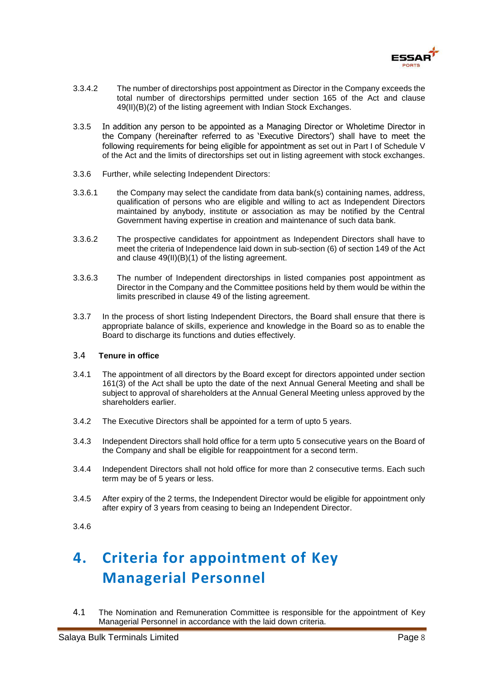

- 3.3.4.2 The number of directorships post appointment as Director in the Company exceeds the total number of directorships permitted under section 165 of the Act and clause 49(II)(B)(2) of the listing agreement with Indian Stock Exchanges.
- 3.3.5 In addition any person to be appointed as a Managing Director or Wholetime Director in the Company (hereinafter referred to as 'Executive Directors') shall have to meet the following requirements for being eligible for appointment as set out in Part I of Schedule V of the Act and the limits of directorships set out in listing agreement with stock exchanges.
- 3.3.6 Further, while selecting Independent Directors:
- 3.3.6.1 the Company may select the candidate from data bank(s) containing names, address, qualification of persons who are eligible and willing to act as Independent Directors maintained by anybody, institute or association as may be notified by the Central Government having expertise in creation and maintenance of such data bank.
- 3.3.6.2 The prospective candidates for appointment as Independent Directors shall have to meet the criteria of Independence laid down in sub-section (6) of section 149 of the Act and clause 49(II)(B)(1) of the listing agreement.
- 3.3.6.3 The number of Independent directorships in listed companies post appointment as Director in the Company and the Committee positions held by them would be within the limits prescribed in clause 49 of the listing agreement.
- 3.3.7 In the process of short listing Independent Directors, the Board shall ensure that there is appropriate balance of skills, experience and knowledge in the Board so as to enable the Board to discharge its functions and duties effectively.

#### 3.4 **Tenure in office**

- 3.4.1 The appointment of all directors by the Board except for directors appointed under section 161(3) of the Act shall be upto the date of the next Annual General Meeting and shall be subject to approval of shareholders at the Annual General Meeting unless approved by the shareholders earlier.
- 3.4.2 The Executive Directors shall be appointed for a term of upto 5 years.
- 3.4.3 Independent Directors shall hold office for a term upto 5 consecutive years on the Board of the Company and shall be eligible for reappointment for a second term.
- 3.4.4 Independent Directors shall not hold office for more than 2 consecutive terms. Each such term may be of 5 years or less.
- 3.4.5 After expiry of the 2 terms, the Independent Director would be eligible for appointment only after expiry of 3 years from ceasing to being an Independent Director.

# **4. Criteria for appointment of Key Managerial Personnel**

4.1 The Nomination and Remuneration Committee is responsible for the appointment of Key Managerial Personnel in accordance with the laid down criteria.

<sup>3.4.6</sup>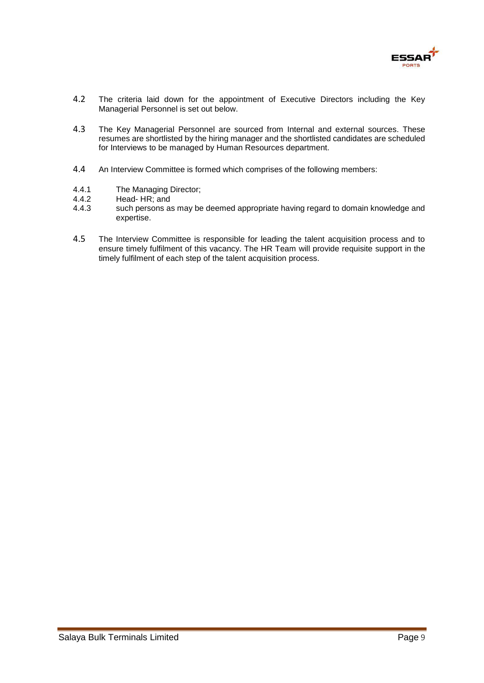

- 4.2 The criteria laid down for the appointment of Executive Directors including the Key Managerial Personnel is set out below.
- 4.3 The Key Managerial Personnel are sourced from Internal and external sources. These resumes are shortlisted by the hiring manager and the shortlisted candidates are scheduled for Interviews to be managed by Human Resources department.
- 4.4 An Interview Committee is formed which comprises of the following members:
- 4.4.1 The Managing Director;<br>4.4.2 Head-HR: and
- 4.4.2 Head- HR; and<br>4.4.3 such persons a
- such persons as may be deemed appropriate having regard to domain knowledge and expertise.
- 4.5 The Interview Committee is responsible for leading the talent acquisition process and to ensure timely fulfilment of this vacancy. The HR Team will provide requisite support in the timely fulfilment of each step of the talent acquisition process.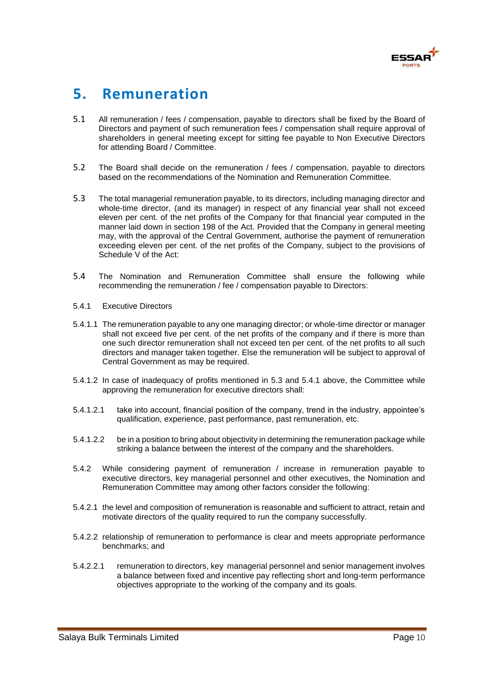

## **5. Remuneration**

- 5.1 All remuneration / fees / compensation, payable to directors shall be fixed by the Board of Directors and payment of such remuneration fees / compensation shall require approval of shareholders in general meeting except for sitting fee payable to Non Executive Directors for attending Board / Committee.
- 5.2 The Board shall decide on the remuneration / fees / compensation, payable to directors based on the recommendations of the Nomination and Remuneration Committee.
- 5.3 The total managerial remuneration payable, to its directors, including managing director and whole-time director, (and its manager) in respect of any financial year shall not exceed eleven per cent. of the net profits of the Company for that financial year computed in the manner laid down in section 198 of the Act. Provided that the Company in general meeting may, with the approval of the Central Government, authorise the payment of remuneration exceeding eleven per cent. of the net profits of the Company, subject to the provisions of Schedule V of the Act:
- 5.4 The Nomination and Remuneration Committee shall ensure the following while recommending the remuneration / fee / compensation payable to Directors:
- 5.4.1 Executive Directors
- 5.4.1.1 The remuneration payable to any one managing director; or whole-time director or manager shall not exceed five per cent. of the net profits of the company and if there is more than one such director remuneration shall not exceed ten per cent. of the net profits to all such directors and manager taken together. Else the remuneration will be subject to approval of Central Government as may be required.
- 5.4.1.2 In case of inadequacy of profits mentioned in 5.3 and 5.4.1 above, the Committee while approving the remuneration for executive directors shall:
- 5.4.1.2.1 take into account, financial position of the company, trend in the industry, appointee's qualification, experience, past performance, past remuneration, etc.
- 5.4.1.2.2 be in a position to bring about objectivity in determining the remuneration package while striking a balance between the interest of the company and the shareholders.
- 5.4.2 While considering payment of remuneration / increase in remuneration payable to executive directors, key managerial personnel and other executives, the Nomination and Remuneration Committee may among other factors consider the following:
- 5.4.2.1 the level and composition of remuneration is reasonable and sufficient to attract, retain and motivate directors of the quality required to run the company successfully.
- 5.4.2.2 relationship of remuneration to performance is clear and meets appropriate performance benchmarks; and
- 5.4.2.2.1 remuneration to directors, key managerial personnel and senior management involves a balance between fixed and incentive pay reflecting short and long-term performance objectives appropriate to the working of the company and its goals.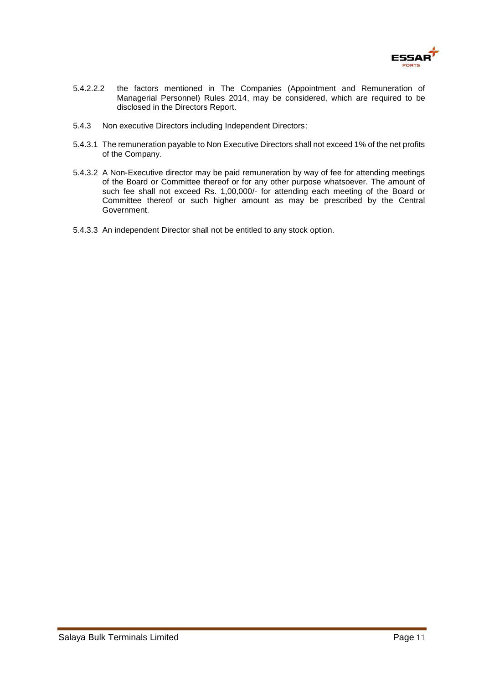

- 5.4.2.2.2 the factors mentioned in The Companies (Appointment and Remuneration of Managerial Personnel) Rules 2014, may be considered, which are required to be disclosed in the Directors Report.
- 5.4.3 Non executive Directors including Independent Directors:
- 5.4.3.1 The remuneration payable to Non Executive Directors shall not exceed 1% of the net profits of the Company.
- 5.4.3.2 A Non-Executive director may be paid remuneration by way of fee for attending meetings of the Board or Committee thereof or for any other purpose whatsoever. The amount of such fee shall not exceed Rs. 1,00,000/- for attending each meeting of the Board or Committee thereof or such higher amount as may be prescribed by the Central Government.
- 5.4.3.3 An independent Director shall not be entitled to any stock option.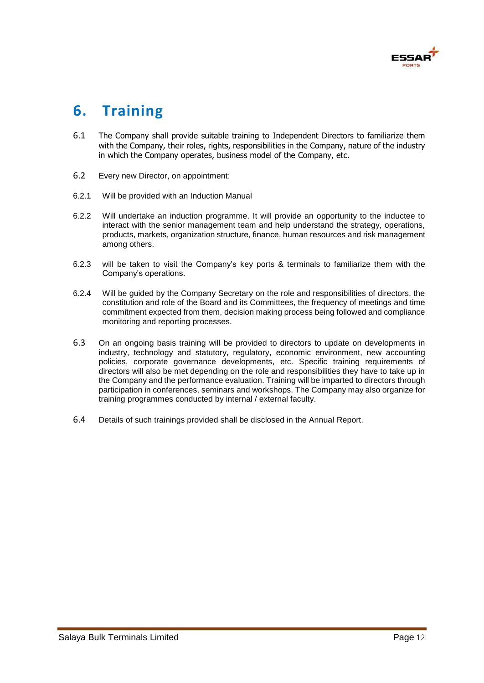

# **6. Training**

- 6.1 The Company shall provide suitable training to Independent Directors to familiarize them with the Company, their roles, rights, responsibilities in the Company, nature of the industry in which the Company operates, business model of the Company, etc.
- 6.2 Every new Director, on appointment:
- 6.2.1 Will be provided with an Induction Manual
- 6.2.2 Will undertake an induction programme. It will provide an opportunity to the inductee to interact with the senior management team and help understand the strategy, operations, products, markets, organization structure, finance, human resources and risk management among others.
- 6.2.3 will be taken to visit the Company's key ports & terminals to familiarize them with the Company's operations.
- 6.2.4 Will be guided by the Company Secretary on the role and responsibilities of directors, the constitution and role of the Board and its Committees, the frequency of meetings and time commitment expected from them, decision making process being followed and compliance monitoring and reporting processes.
- 6.3 On an ongoing basis training will be provided to directors to update on developments in industry, technology and statutory, regulatory, economic environment, new accounting policies, corporate governance developments, etc. Specific training requirements of directors will also be met depending on the role and responsibilities they have to take up in the Company and the performance evaluation. Training will be imparted to directors through participation in conferences, seminars and workshops. The Company may also organize for training programmes conducted by internal / external faculty.
- 6.4 Details of such trainings provided shall be disclosed in the Annual Report.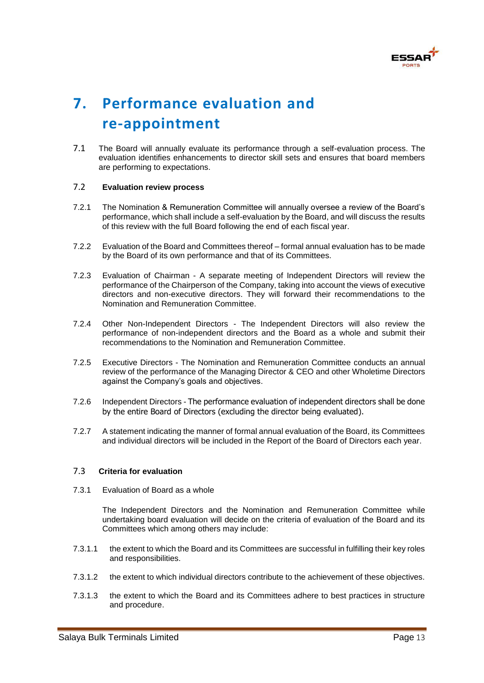

# **7. Performance evaluation and re-appointment**

7.1 The Board will annually evaluate its performance through a self-evaluation process. The evaluation identifies enhancements to director skill sets and ensures that board members are performing to expectations.

#### 7.2 **Evaluation review process**

- 7.2.1 The Nomination & Remuneration Committee will annually oversee a review of the Board's performance, which shall include a self-evaluation by the Board, and will discuss the results of this review with the full Board following the end of each fiscal year.
- 7.2.2 Evaluation of the Board and Committees thereof formal annual evaluation has to be made by the Board of its own performance and that of its Committees.
- 7.2.3 Evaluation of Chairman A separate meeting of Independent Directors will review the performance of the Chairperson of the Company, taking into account the views of executive directors and non-executive directors. They will forward their recommendations to the Nomination and Remuneration Committee.
- 7.2.4 Other Non-Independent Directors The Independent Directors will also review the performance of non-independent directors and the Board as a whole and submit their recommendations to the Nomination and Remuneration Committee.
- 7.2.5 Executive Directors The Nomination and Remuneration Committee conducts an annual review of the performance of the Managing Director & CEO and other Wholetime Directors against the Company's goals and objectives.
- 7.2.6 Independent Directors The performance evaluation of independent directors shall be done by the entire Board of Directors (excluding the director being evaluated).
- 7.2.7 A statement indicating the manner of formal annual evaluation of the Board, its Committees and individual directors will be included in the Report of the Board of Directors each year.

#### 7.3 **Criteria for evaluation**

7.3.1 Evaluation of Board as a whole

The Independent Directors and the Nomination and Remuneration Committee while undertaking board evaluation will decide on the criteria of evaluation of the Board and its Committees which among others may include:

- 7.3.1.1 the extent to which the Board and its Committees are successful in fulfilling their key roles and responsibilities.
- 7.3.1.2 the extent to which individual directors contribute to the achievement of these objectives.
- 7.3.1.3 the extent to which the Board and its Committees adhere to best practices in structure and procedure.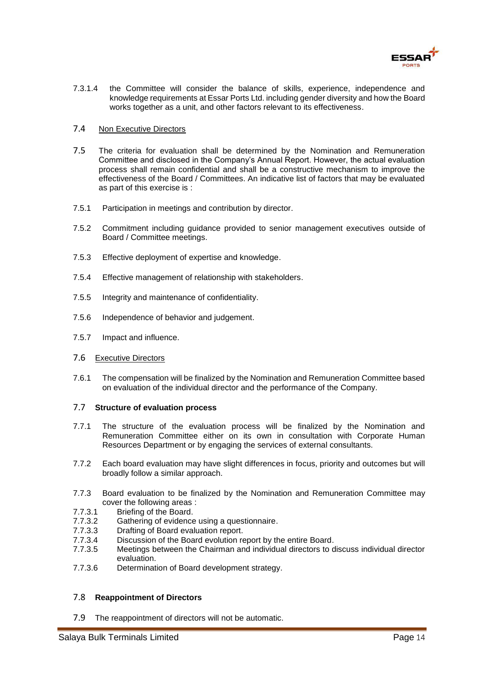

7.3.1.4 the Committee will consider the balance of skills, experience, independence and knowledge requirements at Essar Ports Ltd. including gender diversity and how the Board works together as a unit, and other factors relevant to its effectiveness.

#### 7.4 Non Executive Directors

- 7.5 The criteria for evaluation shall be determined by the Nomination and Remuneration Committee and disclosed in the Company's Annual Report. However, the actual evaluation process shall remain confidential and shall be a constructive mechanism to improve the effectiveness of the Board / Committees. An indicative list of factors that may be evaluated as part of this exercise is :
- 7.5.1 Participation in meetings and contribution by director.
- 7.5.2 Commitment including guidance provided to senior management executives outside of Board / Committee meetings.
- 7.5.3 Effective deployment of expertise and knowledge.
- 7.5.4 Effective management of relationship with stakeholders.
- 7.5.5 Integrity and maintenance of confidentiality.
- 7.5.6 Independence of behavior and judgement.
- 7.5.7 Impact and influence.

#### 7.6 Executive Directors

7.6.1 The compensation will be finalized by the Nomination and Remuneration Committee based on evaluation of the individual director and the performance of the Company.

#### 7.7 **Structure of evaluation process**

- 7.7.1 The structure of the evaluation process will be finalized by the Nomination and Remuneration Committee either on its own in consultation with Corporate Human Resources Department or by engaging the services of external consultants.
- 7.7.2 Each board evaluation may have slight differences in focus, priority and outcomes but will broadly follow a similar approach.
- 7.7.3 Board evaluation to be finalized by the Nomination and Remuneration Committee may cover the following areas :
- 7.7.3.1 Briefing of the Board.
- 7.7.3.2 Gathering of evidence using a questionnaire.
- 7.7.3.3 Drafting of Board evaluation report.
- 7.7.3.4 Discussion of the Board evolution report by the entire Board.
- 7.7.3.5 Meetings between the Chairman and individual directors to discuss individual director evaluation.
- 7.7.3.6 Determination of Board development strategy.

#### 7.8 **Reappointment of Directors**

7.9 The reappointment of directors will not be automatic.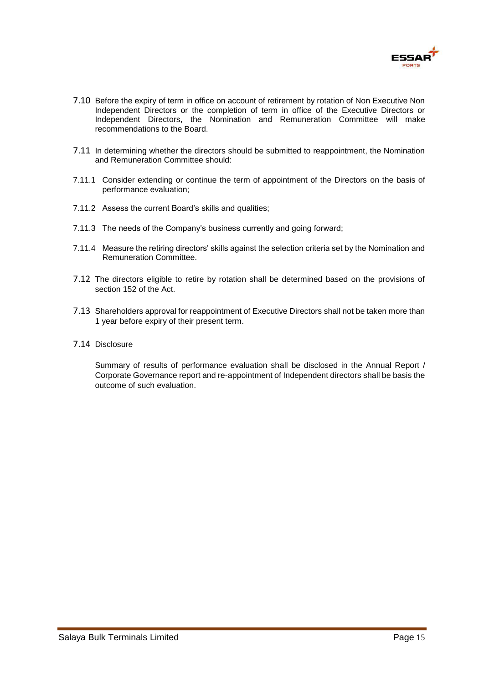

- 7.10 Before the expiry of term in office on account of retirement by rotation of Non Executive Non Independent Directors or the completion of term in office of the Executive Directors or Independent Directors, the Nomination and Remuneration Committee will make recommendations to the Board.
- 7.11 In determining whether the directors should be submitted to reappointment, the Nomination and Remuneration Committee should:
- 7.11.1 Consider extending or continue the term of appointment of the Directors on the basis of performance evaluation;
- 7.11.2 Assess the current Board's skills and qualities;
- 7.11.3 The needs of the Company's business currently and going forward;
- 7.11.4 Measure the retiring directors' skills against the selection criteria set by the Nomination and Remuneration Committee.
- 7.12 The directors eligible to retire by rotation shall be determined based on the provisions of section 152 of the Act.
- 7.13 Shareholders approval for reappointment of Executive Directors shall not be taken more than 1 year before expiry of their present term.
- 7.14 Disclosure

Summary of results of performance evaluation shall be disclosed in the Annual Report / Corporate Governance report and re-appointment of Independent directors shall be basis the outcome of such evaluation.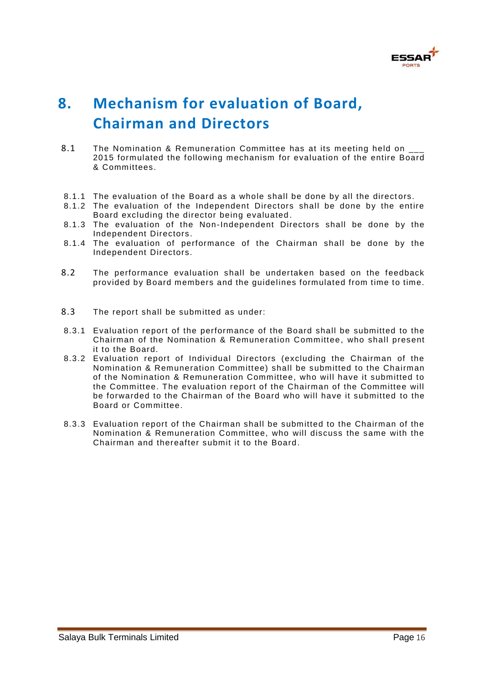

# **8. Mechanism for evaluation of Board, Chairman and Directors**

- 8.1 The Nomination & Remuneration Committee has at its meeting held on 2015 formulated the following mechanism for evaluation of the entire Board & Committees.
- 8.1.1 The evaluation of the Board as a whole shall be done by all the directors.
- 8.1.2 The evaluation of the Independent Directors shall be done by the entire Board excluding the director being evaluated .
- 8.1.3 The evaluation of the Non-Independent Directors shall be done by the Independent Directors .
- 8.1.4 The evaluation of performance of the Chairman shall be done by the Independent Directors.
- 8.2 The performance evaluation shall be undertaken based on the feedback provided by Board members and the guidelines formulated from time to time.
- 8.3 The report shall be submitted as under:
- 8.3.1 Evaluation report of the performance of the Board shall be submitted to the Chairman of the Nomination & Remuneration Committee, who shall present it to the Board.
- 8.3.2 Evaluation report of Individual Directors (excluding the Chairman of the Nomination & Remuneration Committee) shall be submitted to the Chairman of the Nomination & Remuneration Committee, who will have it submitted to the Committee. The evaluation report of the Chairman of the Committee will be forwarded to the Chairman of the Board who will have it submitted to the Board or Committee.
- 8.3.3 Evaluation report of the Chairman shall be submitted to the Chairman of the Nomination & Remuneration Committee, who will discuss the same with the Chairman and thereafter submit it to the Board.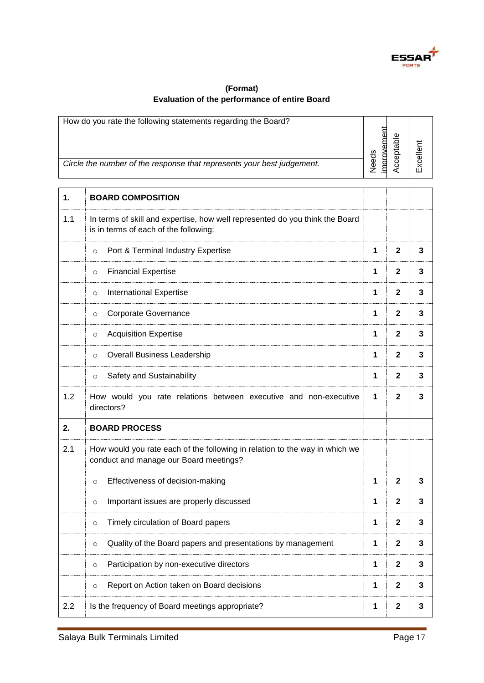

## **(Format) Evaluation of the performance of entire Board**

|     | How do you rate the following statements regarding the Board?<br>Circle the number of the response that represents your best judgement. | improvement<br>Needs | Acceptable     | Excellent |
|-----|-----------------------------------------------------------------------------------------------------------------------------------------|----------------------|----------------|-----------|
| 1.  | <b>BOARD COMPOSITION</b>                                                                                                                |                      |                |           |
| 1.1 | In terms of skill and expertise, how well represented do you think the Board<br>is in terms of each of the following:                   |                      |                |           |
|     | Port & Terminal Industry Expertise<br>$\circ$                                                                                           | 1                    | $\mathbf{2}$   | 3         |
|     | <b>Financial Expertise</b><br>$\circ$                                                                                                   | 1                    | $\mathbf 2$    | 3         |
|     | <b>International Expertise</b><br>$\circ$                                                                                               | 1                    | $\mathbf{2}$   | 3         |
|     | Corporate Governance<br>$\circ$                                                                                                         | 1                    | $\mathbf{2}$   | 3         |
|     | <b>Acquisition Expertise</b><br>$\circ$                                                                                                 | 1                    | $\mathbf{2}$   | 3         |
|     | <b>Overall Business Leadership</b><br>$\circ$                                                                                           | 1                    | $\mathbf 2$    | 3         |
|     | Safety and Sustainability<br>$\circ$                                                                                                    | 1                    | $\mathbf{2}$   | 3         |
| 1.2 | How would you rate relations between executive and non-executive<br>directors?                                                          | 1                    | $\mathbf{2}$   | 3         |
| 2.  | <b>BOARD PROCESS</b>                                                                                                                    |                      |                |           |
| 2.1 | How would you rate each of the following in relation to the way in which we<br>conduct and manage our Board meetings?                   |                      |                |           |
|     | Effectiveness of decision-making<br>$\circ$                                                                                             | 1                    | 2              |           |
|     | Important issues are properly discussed<br>$\circ$                                                                                      | 1                    | $\overline{2}$ | 3         |
|     | Timely circulation of Board papers<br>$\circ$                                                                                           | 1                    | $\mathbf{2}$   | 3         |
|     | Quality of the Board papers and presentations by management<br>$\circ$                                                                  | 1                    | $\mathbf{2}$   | 3         |
|     | Participation by non-executive directors<br>$\circ$                                                                                     | 1                    | $\mathbf 2$    | 3         |
|     | Report on Action taken on Board decisions<br>$\circ$                                                                                    | 1                    | $\mathbf{2}$   | 3         |
| 2.2 | Is the frequency of Board meetings appropriate?                                                                                         | 1                    | $\mathbf 2$    | 3         |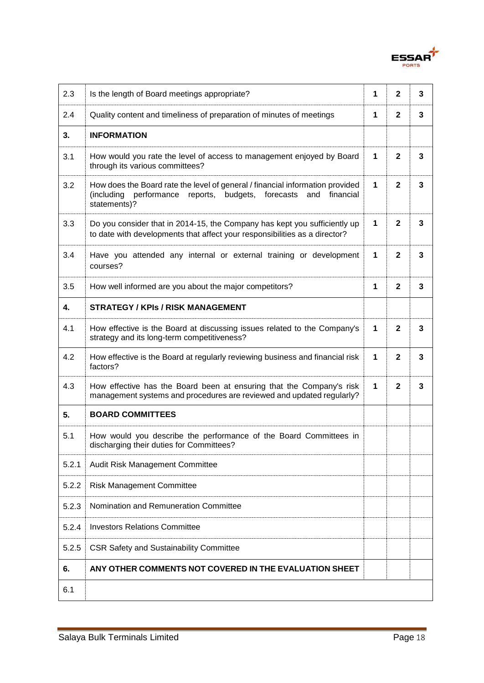

| 2.3   | Is the length of Board meetings appropriate?                                                                                                                               | 1            | $\mathbf{2}$   | 3 |
|-------|----------------------------------------------------------------------------------------------------------------------------------------------------------------------------|--------------|----------------|---|
| 2.4   | Quality content and timeliness of preparation of minutes of meetings                                                                                                       | $\mathbf 1$  | $\mathbf{2}$   | 3 |
| 3.    | <b>INFORMATION</b>                                                                                                                                                         |              |                |   |
| 3.1   | How would you rate the level of access to management enjoyed by Board<br>through its various committees?                                                                   | $\mathbf{1}$ | $\mathbf{2}$   | 3 |
| 3.2   | How does the Board rate the level of general / financial information provided<br>performance reports, budgets, forecasts<br>(including<br>and<br>financial<br>statements)? | $\mathbf{1}$ | $\overline{2}$ | 3 |
| 3.3   | Do you consider that in 2014-15, the Company has kept you sufficiently up<br>to date with developments that affect your responsibilities as a director?                    | $\mathbf{1}$ | $\mathbf{2}$   | 3 |
| 3.4   | Have you attended any internal or external training or development<br>courses?                                                                                             | 1            | $\mathbf{2}$   | 3 |
| 3.5   | How well informed are you about the major competitors?                                                                                                                     | 1            | $\mathbf{2}$   | 3 |
| 4.    | <b>STRATEGY / KPIs / RISK MANAGEMENT</b>                                                                                                                                   |              |                |   |
| 4.1   | How effective is the Board at discussing issues related to the Company's<br>strategy and its long-term competitiveness?                                                    | $\mathbf 1$  | $\mathbf{2}$   | 3 |
| 4.2   | How effective is the Board at regularly reviewing business and financial risk<br>factors?                                                                                  | 1            | $\mathbf{2}$   | 3 |
| 4.3   | How effective has the Board been at ensuring that the Company's risk<br>management systems and procedures are reviewed and updated regularly?                              | 1            | $\mathbf{2}$   | 3 |
| 5.    | <b>BOARD COMMITTEES</b>                                                                                                                                                    |              |                |   |
| 5.1   | How would you describe the performance of the Board Committees in<br>discharging their duties for Committees?                                                              |              |                |   |
| 5.2.1 | Audit Risk Management Committee                                                                                                                                            |              |                |   |
| 5.2.2 | <b>Risk Management Committee</b>                                                                                                                                           |              |                |   |
| 5.2.3 | Nomination and Remuneration Committee                                                                                                                                      |              |                |   |
| 5.2.4 | <b>Investors Relations Committee</b>                                                                                                                                       |              |                |   |
| 5.2.5 | <b>CSR Safety and Sustainability Committee</b>                                                                                                                             |              |                |   |
| 6.    | ANY OTHER COMMENTS NOT COVERED IN THE EVALUATION SHEET                                                                                                                     |              |                |   |
| 6.1   |                                                                                                                                                                            |              |                |   |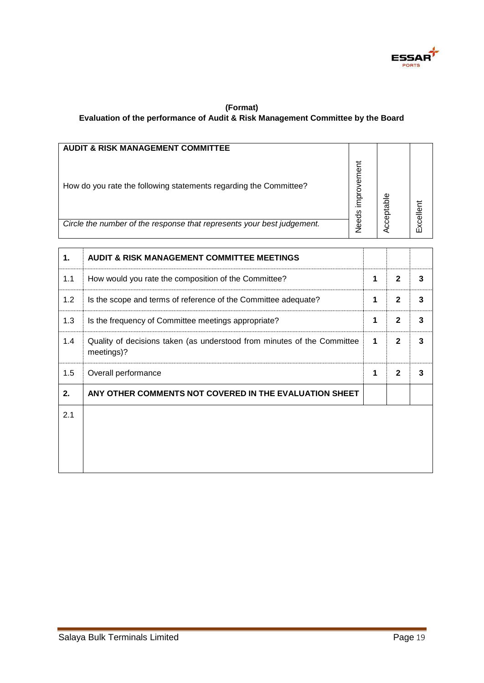

### **(Format) Evaluation of the performance of Audit & Risk Management Committee by the Board**

| <b>AUDIT &amp; RISK MANAGEMENT COMMITTEE</b>                           |                   |       |        |
|------------------------------------------------------------------------|-------------------|-------|--------|
| How do you rate the following statements regarding the Committee?      | ā٩<br>ع<br>ه<br>o | ptabl | celler |
| Circle the number of the response that represents your best judgement. | Veeds             | es    |        |

| 1.  | <b>AUDIT &amp; RISK MANAGEMENT COMMITTEE MEETINGS</b>                                 |   |              |   |
|-----|---------------------------------------------------------------------------------------|---|--------------|---|
| 1.1 | How would you rate the composition of the Committee?                                  | 1 | $\mathbf{2}$ | 3 |
| 1.2 | Is the scope and terms of reference of the Committee adequate?                        | 1 | $\mathbf{2}$ | 3 |
| 1.3 | Is the frequency of Committee meetings appropriate?                                   | 1 | $\mathbf{2}$ | 3 |
| 1.4 | Quality of decisions taken (as understood from minutes of the Committee<br>meetings)? | 1 | $\mathbf{2}$ | 3 |
| 1.5 | Overall performance                                                                   | 1 | $\mathbf{2}$ | 3 |
| 2.  | ANY OTHER COMMENTS NOT COVERED IN THE EVALUATION SHEET                                |   |              |   |
| 2.1 |                                                                                       |   |              |   |
|     |                                                                                       |   |              |   |
|     |                                                                                       |   |              |   |
|     |                                                                                       |   |              |   |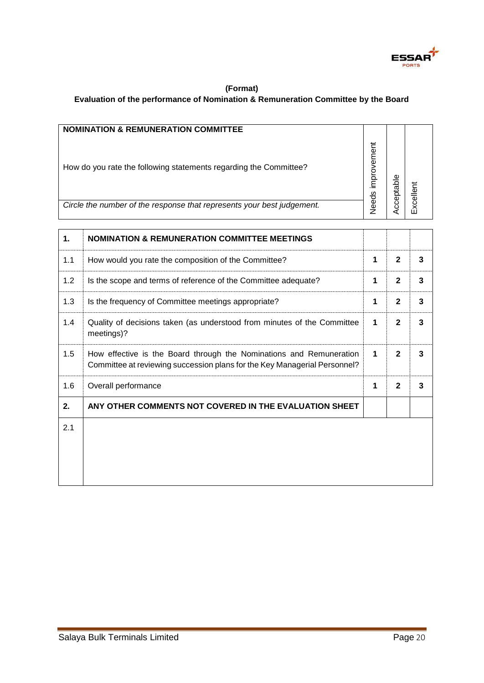

### **(Format) Evaluation of the performance of Nomination & Remuneration Committee by the Board**

| <b>NOMINATION &amp; REMUNERATION COMMITTEE</b>                         |                      |                    |        |
|------------------------------------------------------------------------|----------------------|--------------------|--------|
| How do you rate the following statements regarding the Committee?      | ement<br>mprov<br>ಕೆ | $\frac{6}{2}$<br>ω | 5<br>0 |
| Circle the number of the response that represents your best judgement. | ®⊌                   | ၓ                  |        |

| 1.  | <b>NOMINATION &amp; REMUNERATION COMMITTEE MEETINGS</b>                                                                                          |   |              |   |
|-----|--------------------------------------------------------------------------------------------------------------------------------------------------|---|--------------|---|
| 1.1 | How would you rate the composition of the Committee?                                                                                             | 1 | $\mathbf{2}$ | 3 |
| 1.2 | Is the scope and terms of reference of the Committee adequate?                                                                                   | 1 | $\mathbf{2}$ | 3 |
| 1.3 | Is the frequency of Committee meetings appropriate?                                                                                              | 1 | $\mathbf{2}$ | 3 |
| 1.4 | Quality of decisions taken (as understood from minutes of the Committee<br>meetings)?                                                            | 1 | $\mathbf{2}$ | 3 |
| 1.5 | How effective is the Board through the Nominations and Remuneration<br>Committee at reviewing succession plans for the Key Managerial Personnel? | 1 | $\mathbf{2}$ | 3 |
| 1.6 | Overall performance                                                                                                                              | 1 | $\mathbf{2}$ | 3 |
| 2.  | ANY OTHER COMMENTS NOT COVERED IN THE EVALUATION SHEET                                                                                           |   |              |   |
| 2.1 |                                                                                                                                                  |   |              |   |
|     |                                                                                                                                                  |   |              |   |
|     |                                                                                                                                                  |   |              |   |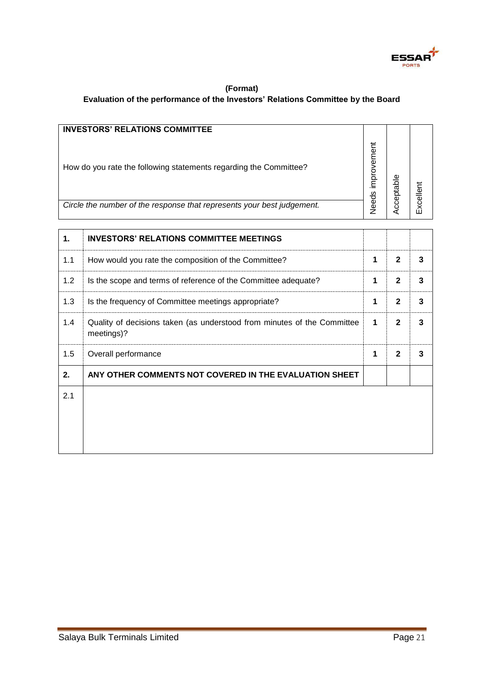

### **(Format) Evaluation of the performance of the Investors' Relations Committee by the Board**

| <b>INVESTORS' RELATIONS COMMITTEE</b>                                  |               |           |           |
|------------------------------------------------------------------------|---------------|-----------|-----------|
| How do you rate the following statements regarding the Committee?      | ement<br>oror | cceptable | Excellent |
| Circle the number of the response that represents your best judgement. | Veeds         |           |           |

| 1.  | <b>INVESTORS' RELATIONS COMMITTEE MEETINGS</b>                                        |   |              |   |
|-----|---------------------------------------------------------------------------------------|---|--------------|---|
| 1.1 | How would you rate the composition of the Committee?                                  | 1 | $\mathbf{2}$ | 3 |
| 1.2 | Is the scope and terms of reference of the Committee adequate?                        | 1 | $\mathbf{2}$ | 3 |
| 1.3 | Is the frequency of Committee meetings appropriate?                                   | 1 | $\mathbf{2}$ | 3 |
| 1.4 | Quality of decisions taken (as understood from minutes of the Committee<br>meetings)? | 1 | $\mathbf{2}$ | 3 |
| 1.5 | Overall performance                                                                   | 1 | $\mathbf{2}$ | 3 |
| 2.  | ANY OTHER COMMENTS NOT COVERED IN THE EVALUATION SHEET                                |   |              |   |
| 2.1 |                                                                                       |   |              |   |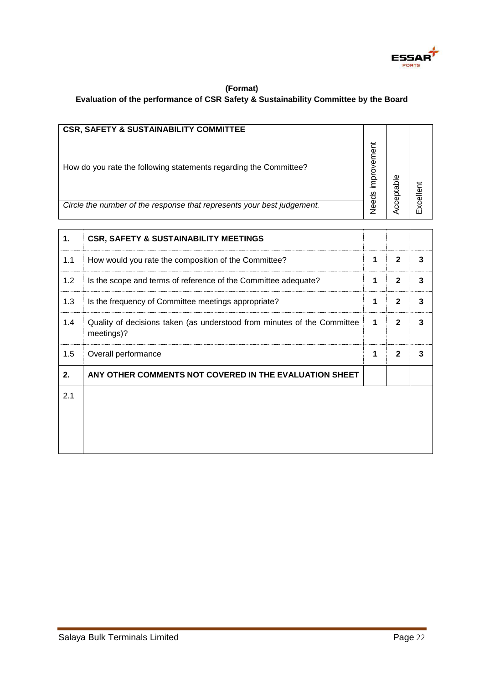

### **(Format) Evaluation of the performance of CSR Safety & Sustainability Committee by the Board**

| <b>CSR, SAFETY &amp; SUSTAINABILITY COMMITTEE</b>                      |               |                |           |
|------------------------------------------------------------------------|---------------|----------------|-----------|
| How do you rate the following statements regarding the Committee?      | ement<br>mpro | Φ<br>a<br>ptai | Excellent |
| Circle the number of the response that represents your best judgement. | Veeds         | ළ              |           |

| 1.  | <b>CSR, SAFETY &amp; SUSTAINABILITY MEETINGS</b>                                      |   |              |   |
|-----|---------------------------------------------------------------------------------------|---|--------------|---|
| 1.1 | How would you rate the composition of the Committee?                                  | 1 | $\mathbf{2}$ | 3 |
| 1.2 | Is the scope and terms of reference of the Committee adequate?                        | 1 | $\mathbf{2}$ | 3 |
| 1.3 | Is the frequency of Committee meetings appropriate?                                   | 1 | $\mathbf{2}$ | 3 |
| 1.4 | Quality of decisions taken (as understood from minutes of the Committee<br>meetings)? | 1 | $\mathbf{2}$ | 3 |
| 1.5 | Overall performance                                                                   | 1 | $\mathbf{2}$ | 3 |
| 2.  | ANY OTHER COMMENTS NOT COVERED IN THE EVALUATION SHEET                                |   |              |   |
| 2.1 |                                                                                       |   |              |   |
|     |                                                                                       |   |              |   |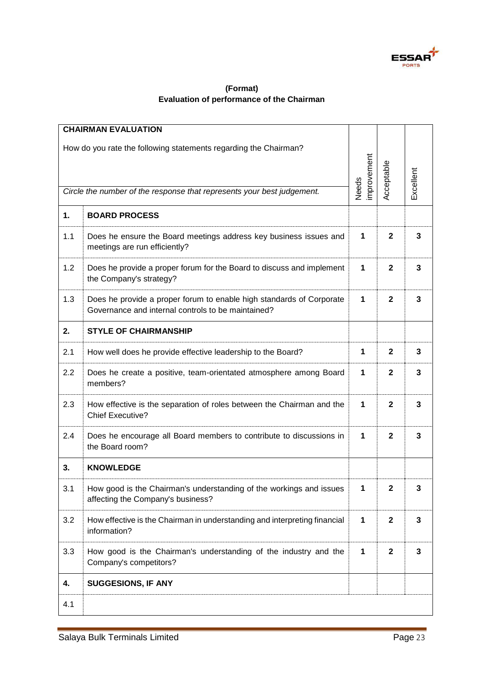

## **(Format) Evaluation of performance of the Chairman**

|                                                                                                                                            | <b>CHAIRMAN EVALUATION</b>                                                                                                 |                            |              |                         |
|--------------------------------------------------------------------------------------------------------------------------------------------|----------------------------------------------------------------------------------------------------------------------------|----------------------------|--------------|-------------------------|
| How do you rate the following statements regarding the Chairman?<br>Circle the number of the response that represents your best judgement. |                                                                                                                            | mprovement<br><b>Needs</b> | Acceptable   | <b>Excellent</b>        |
| 1.                                                                                                                                         | <b>BOARD PROCESS</b>                                                                                                       |                            |              |                         |
| 1.1                                                                                                                                        | Does he ensure the Board meetings address key business issues and<br>meetings are run efficiently?                         | 1                          | $\mathbf 2$  | 3                       |
| 1.2                                                                                                                                        | Does he provide a proper forum for the Board to discuss and implement<br>the Company's strategy?                           | 1                          | $\mathbf{2}$ | 3                       |
| 1.3                                                                                                                                        | Does he provide a proper forum to enable high standards of Corporate<br>Governance and internal controls to be maintained? | 1                          | $\mathbf{2}$ | 3                       |
| 2.                                                                                                                                         | <b>STYLE OF CHAIRMANSHIP</b>                                                                                               |                            |              |                         |
| 2.1                                                                                                                                        | How well does he provide effective leadership to the Board?                                                                | 1                          | $\mathbf 2$  | 3                       |
| 2.2                                                                                                                                        | Does he create a positive, team-orientated atmosphere among Board<br>members?                                              | 1                          | $\mathbf 2$  | 3                       |
| 2.3                                                                                                                                        | How effective is the separation of roles between the Chairman and the<br><b>Chief Executive?</b>                           | 1                          | $\mathbf 2$  | 3                       |
| 2.4                                                                                                                                        | Does he encourage all Board members to contribute to discussions in<br>the Board room?                                     | 1                          | $\mathbf 2$  | 3                       |
| 3.                                                                                                                                         | <b>KNOWLEDGE</b>                                                                                                           |                            |              |                         |
| 3.1                                                                                                                                        | How good is the Chairman's understanding of the workings and issues<br>affecting the Company's business?                   | 1                          | $\mathbf 2$  | 3                       |
| 3.2                                                                                                                                        | How effective is the Chairman in understanding and interpreting financial<br>information?                                  | 1                          | $\mathbf{2}$ | $\overline{\mathbf{3}}$ |
| 3.3                                                                                                                                        | How good is the Chairman's understanding of the industry and the<br>Company's competitors?                                 | 1                          | $\mathbf{2}$ | 3                       |
| 4.                                                                                                                                         | <b>SUGGESIONS, IF ANY</b>                                                                                                  |                            |              |                         |
| 4.1                                                                                                                                        |                                                                                                                            |                            |              |                         |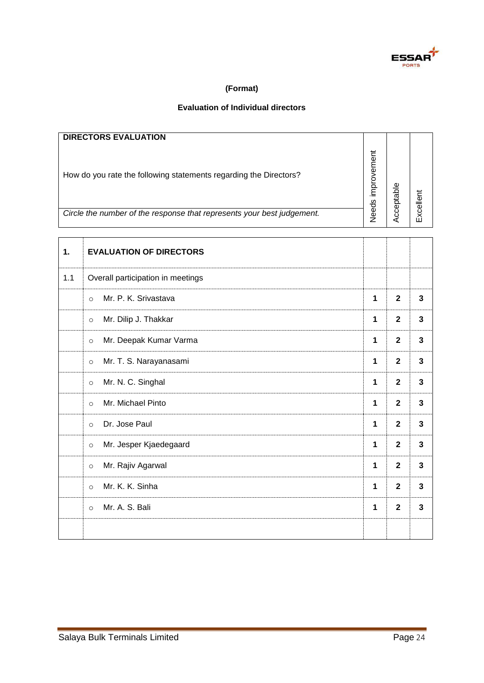

## **(Format)**

## **Evaluation of Individual directors**

|     | <b>DIRECTORS EVALUATION</b>                                                                                                                 |                   |                         |              |
|-----|---------------------------------------------------------------------------------------------------------------------------------------------|-------------------|-------------------------|--------------|
|     | How do you rate the following statements regarding the Directors?<br>Circle the number of the response that represents your best judgement. | Needs improvement | Acceptable              | Excellent    |
|     |                                                                                                                                             |                   |                         |              |
| 1.  | <b>EVALUATION OF DIRECTORS</b>                                                                                                              |                   |                         |              |
| 1.1 | Overall participation in meetings                                                                                                           |                   |                         |              |
|     | Mr. P. K. Srivastava<br>$\circ$                                                                                                             | 1                 | $\overline{2}$          | $\mathbf{3}$ |
|     | Mr. Dilip J. Thakkar<br>$\circ$                                                                                                             | 1                 | $\overline{\mathbf{2}}$ | 3            |
|     | Mr. Deepak Kumar Varma<br>$\circ$                                                                                                           | 1                 | $\overline{\mathbf{2}}$ | $\mathbf{3}$ |
|     | Mr. T. S. Narayanasami<br>$\circ$                                                                                                           | 1                 | $\overline{2}$          | $\mathbf{3}$ |
|     | Mr. N. C. Singhal<br>$\circ$                                                                                                                | 1                 | $\overline{2}$          | 3            |
|     | Mr. Michael Pinto<br>$\circ$                                                                                                                | 1                 | $\overline{2}$          | $\mathbf{3}$ |
|     | Dr. Jose Paul<br>$\circ$                                                                                                                    | 1                 | $\overline{2}$          | $\mathbf 3$  |
|     | Mr. Jesper Kjaedegaard<br>$\circ$                                                                                                           | 1                 | $\overline{2}$          | $\mathbf{3}$ |
|     | Mr. Rajiv Agarwal<br>$\circ$                                                                                                                | 1                 | $\mathbf{2}$            | $\mathbf{3}$ |
|     | Mr. K. K. Sinha<br>$\circ$                                                                                                                  | 1                 | $\overline{2}$          | $\mathbf{3}$ |
|     | Mr. A. S. Bali<br>$\circ$                                                                                                                   | 1                 | $\overline{2}$          | $\mathbf 3$  |
|     |                                                                                                                                             |                   |                         |              |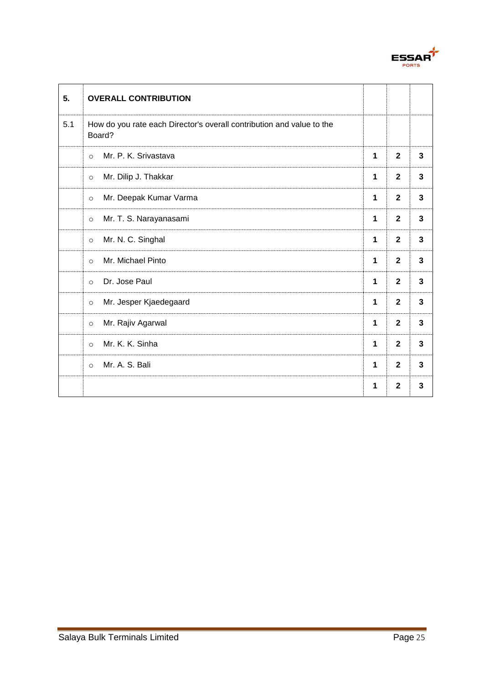

| 5.  | <b>OVERALL CONTRIBUTION</b>                                                     |   |                         |              |
|-----|---------------------------------------------------------------------------------|---|-------------------------|--------------|
| 5.1 | How do you rate each Director's overall contribution and value to the<br>Board? |   |                         |              |
|     | Mr. P. K. Srivastava<br>$\circ$                                                 | 1 | $\overline{\mathbf{2}}$ | 3            |
|     | Mr. Dilip J. Thakkar<br>$\circ$                                                 | 1 | $\mathbf{2}$            | $\mathbf{3}$ |
|     | Mr. Deepak Kumar Varma<br>$\circ$                                               | 1 | $\mathbf{2}$            | 3            |
|     | Mr. T. S. Narayanasami<br>$\circ$                                               | 1 | $\mathbf{2}$            | $\mathbf{3}$ |
|     | Mr. N. C. Singhal<br>$\circ$                                                    | 1 | $\mathbf{2}$            | $\mathbf{3}$ |
|     | Mr. Michael Pinto<br>$\circ$                                                    | 1 | $\mathbf{2}$            | $\mathbf{3}$ |
|     | Dr. Jose Paul<br>$\circ$                                                        | 1 | $\mathbf{2}$            | $\mathbf{3}$ |
|     | Mr. Jesper Kjaedegaard<br>$\circ$                                               | 1 | $\mathbf{2}$            | $\mathbf{3}$ |
|     | Mr. Rajiv Agarwal<br>$\circ$                                                    | 1 | $\overline{\mathbf{2}}$ | 3            |
|     | Mr. K. K. Sinha<br>$\circ$                                                      | 1 | $\mathbf{2}$            | $\mathbf{3}$ |
|     | Mr. A. S. Bali<br>$\circ$                                                       | 1 | $\mathbf{2}$            | 3            |
|     |                                                                                 | 1 | $\mathbf{2}$            | 3            |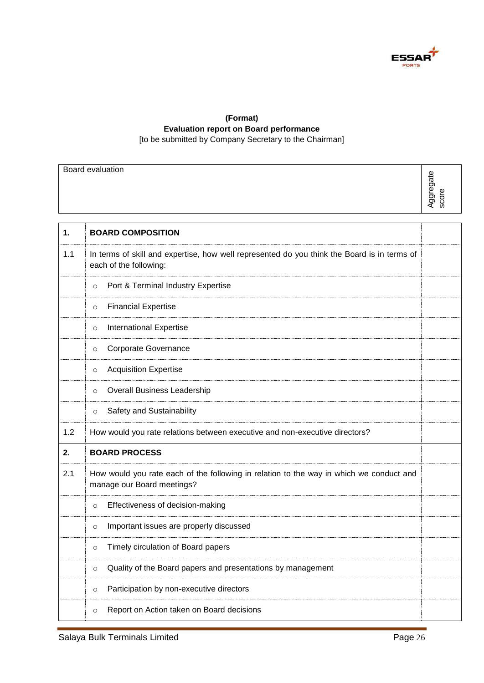

### **(Format) Evaluation report on Board performance** [to be submitted by Company Secretary to the Chairman]

|     | Board evaluation                                                                                                      |           |
|-----|-----------------------------------------------------------------------------------------------------------------------|-----------|
|     |                                                                                                                       | Aggregate |
|     |                                                                                                                       | score     |
|     |                                                                                                                       |           |
| 1.  | <b>BOARD COMPOSITION</b>                                                                                              |           |
| 1.1 | In terms of skill and expertise, how well represented do you think the Board is in terms of<br>each of the following: |           |
|     | Port & Terminal Industry Expertise<br>$\circ$                                                                         |           |
|     | <b>Financial Expertise</b><br>$\circ$                                                                                 |           |
|     | International Expertise<br>$\circ$                                                                                    |           |
|     | Corporate Governance<br>$\circ$                                                                                       |           |
|     | <b>Acquisition Expertise</b><br>$\circ$                                                                               |           |
|     | <b>Overall Business Leadership</b><br>$\circ$                                                                         |           |
|     | Safety and Sustainability<br>$\circ$                                                                                  |           |
| 1.2 | How would you rate relations between executive and non-executive directors?                                           |           |
| 2.  | <b>BOARD PROCESS</b>                                                                                                  |           |
| 2.1 | How would you rate each of the following in relation to the way in which we conduct and<br>manage our Board meetings? |           |
|     | Effectiveness of decision-making<br>$\circ$                                                                           |           |
|     | Important issues are properly discussed<br>$\circ$                                                                    |           |
|     | Timely circulation of Board papers<br>$\circ$                                                                         |           |
|     | Quality of the Board papers and presentations by management<br>$\circ$                                                |           |
|     | Participation by non-executive directors<br>$\circ$                                                                   |           |
|     | Report on Action taken on Board decisions<br>$\circ$                                                                  |           |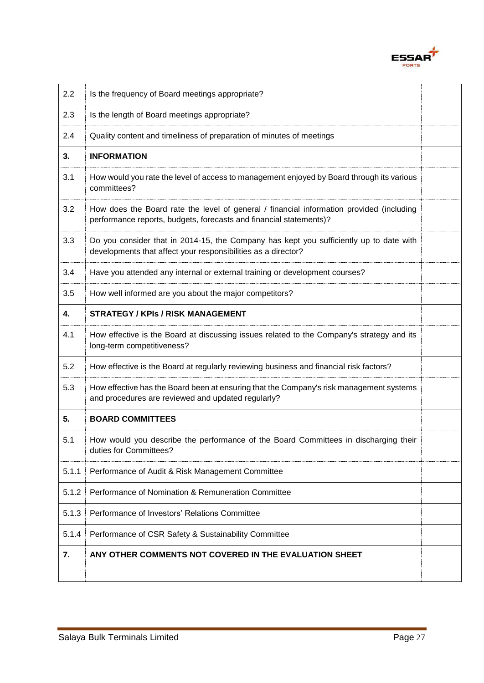

| 2.2   | Is the frequency of Board meetings appropriate?                                                                                                                |  |
|-------|----------------------------------------------------------------------------------------------------------------------------------------------------------------|--|
| 2.3   | Is the length of Board meetings appropriate?                                                                                                                   |  |
| 2.4   | Quality content and timeliness of preparation of minutes of meetings                                                                                           |  |
| 3.    | <b>INFORMATION</b>                                                                                                                                             |  |
| 3.1   | How would you rate the level of access to management enjoyed by Board through its various<br>committees?                                                       |  |
| 3.2   | How does the Board rate the level of general / financial information provided (including<br>performance reports, budgets, forecasts and financial statements)? |  |
| 3.3   | Do you consider that in 2014-15, the Company has kept you sufficiently up to date with<br>developments that affect your responsibilities as a director?        |  |
| 3.4   | Have you attended any internal or external training or development courses?                                                                                    |  |
| 3.5   | How well informed are you about the major competitors?                                                                                                         |  |
| 4.    | <b>STRATEGY / KPIs / RISK MANAGEMENT</b>                                                                                                                       |  |
| 4.1   | How effective is the Board at discussing issues related to the Company's strategy and its<br>long-term competitiveness?                                        |  |
| 5.2   | How effective is the Board at regularly reviewing business and financial risk factors?                                                                         |  |
| 5.3   | How effective has the Board been at ensuring that the Company's risk management systems<br>and procedures are reviewed and updated regularly?                  |  |
| 5.    | <b>BOARD COMMITTEES</b>                                                                                                                                        |  |
| 5.1   | How would you describe the performance of the Board Committees in discharging their<br>duties for Committees?                                                  |  |
| 5.1.1 | Performance of Audit & Risk Management Committee                                                                                                               |  |
| 5.1.2 | Performance of Nomination & Remuneration Committee                                                                                                             |  |
| 5.1.3 | Performance of Investors' Relations Committee                                                                                                                  |  |
| 5.1.4 | Performance of CSR Safety & Sustainability Committee                                                                                                           |  |
| 7.    | ANY OTHER COMMENTS NOT COVERED IN THE EVALUATION SHEET                                                                                                         |  |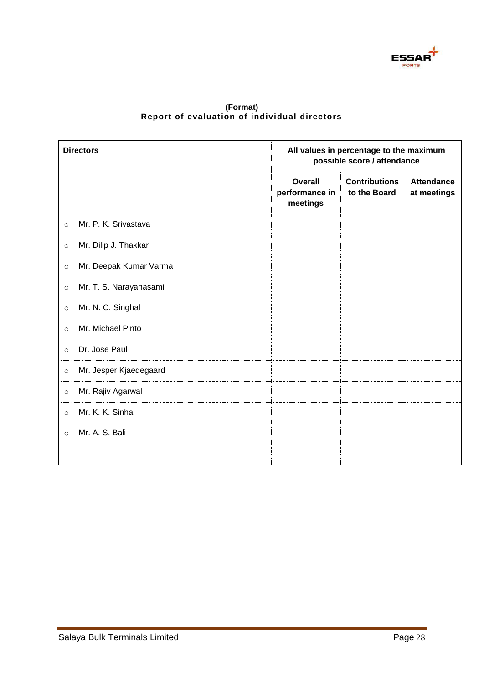

| (Format) |  |                                              |  |  |  |
|----------|--|----------------------------------------------|--|--|--|
|          |  | Report of evaluation of individual directors |  |  |  |

| <b>Directors</b>                  |                                              | All values in percentage to the maximum<br>possible score / attendance |                                  |  |  |
|-----------------------------------|----------------------------------------------|------------------------------------------------------------------------|----------------------------------|--|--|
|                                   | <b>Overall</b><br>performance in<br>meetings | <b>Contributions</b><br>to the Board                                   | <b>Attendance</b><br>at meetings |  |  |
| Mr. P. K. Srivastava<br>$\circ$   |                                              |                                                                        |                                  |  |  |
| Mr. Dilip J. Thakkar<br>$\circ$   |                                              |                                                                        |                                  |  |  |
| Mr. Deepak Kumar Varma<br>$\circ$ |                                              |                                                                        |                                  |  |  |
| Mr. T. S. Narayanasami<br>$\circ$ |                                              |                                                                        |                                  |  |  |
| Mr. N. C. Singhal<br>$\circ$      |                                              |                                                                        |                                  |  |  |
| Mr. Michael Pinto<br>$\circ$      |                                              |                                                                        |                                  |  |  |
| Dr. Jose Paul<br>$\circ$          |                                              |                                                                        |                                  |  |  |
| Mr. Jesper Kjaedegaard<br>$\circ$ |                                              |                                                                        |                                  |  |  |
| Mr. Rajiv Agarwal<br>$\circ$      |                                              |                                                                        |                                  |  |  |
| Mr. K. K. Sinha<br>$\circ$        |                                              |                                                                        |                                  |  |  |
| Mr. A. S. Bali<br>$\circ$         |                                              |                                                                        |                                  |  |  |
|                                   |                                              |                                                                        |                                  |  |  |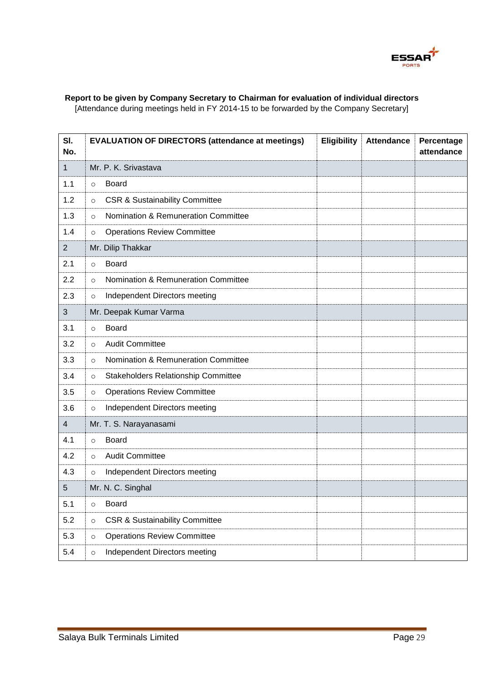

## **Report to be given by Company Secretary to Chairman for evaluation of individual directors**

[Attendance during meetings held in FY 2014-15 to be forwarded by the Company Secretary]

| SI.<br>No.     | <b>EVALUATION OF DIRECTORS (attendance at meetings)</b> | <b>Eligibility</b> | <b>Attendance</b> | Percentage<br>attendance |
|----------------|---------------------------------------------------------|--------------------|-------------------|--------------------------|
| 1              | Mr. P. K. Srivastava                                    |                    |                   |                          |
| 1.1            | <b>Board</b><br>$\circ$                                 |                    |                   |                          |
| 1.2            | <b>CSR &amp; Sustainability Committee</b><br>$\circ$    |                    |                   |                          |
| 1.3            | Nomination & Remuneration Committee<br>$\circ$          |                    |                   |                          |
| 1.4            | <b>Operations Review Committee</b><br>$\circ$           |                    |                   |                          |
| $\overline{2}$ | Mr. Dilip Thakkar                                       |                    |                   |                          |
| 2.1            | <b>Board</b><br>$\circ$                                 |                    |                   |                          |
| 2.2            | Nomination & Remuneration Committee<br>$\circ$          |                    |                   |                          |
| 2.3            | Independent Directors meeting<br>$\circ$                |                    |                   |                          |
| 3              | Mr. Deepak Kumar Varma                                  |                    |                   |                          |
| 3.1            | <b>Board</b><br>$\circ$                                 |                    |                   |                          |
| 3.2            | <b>Audit Committee</b><br>$\circ$                       |                    |                   |                          |
| 3.3            | Nomination & Remuneration Committee<br>$\circ$          |                    |                   |                          |
| 3.4            | Stakeholders Relationship Committee<br>$\circ$          |                    |                   |                          |
| 3.5            | <b>Operations Review Committee</b><br>$\circ$           |                    |                   |                          |
| 3.6            | Independent Directors meeting<br>$\circ$                |                    |                   |                          |
| 4              | Mr. T. S. Narayanasami                                  |                    |                   |                          |
| 4.1            | <b>Board</b><br>$\circ$                                 |                    |                   |                          |
| 4.2            | <b>Audit Committee</b><br>$\circ$                       |                    |                   |                          |
| 4.3            | Independent Directors meeting<br>$\circ$                |                    |                   |                          |
| 5              | Mr. N. C. Singhal                                       |                    |                   |                          |
| 5.1            | <b>Board</b><br>$\circ$                                 |                    |                   |                          |
| 5.2            | <b>CSR &amp; Sustainability Committee</b><br>$\circ$    |                    |                   |                          |
| 5.3            | <b>Operations Review Committee</b><br>$\circ$           |                    |                   |                          |
| 5.4            | Independent Directors meeting<br>$\circ$                |                    |                   |                          |